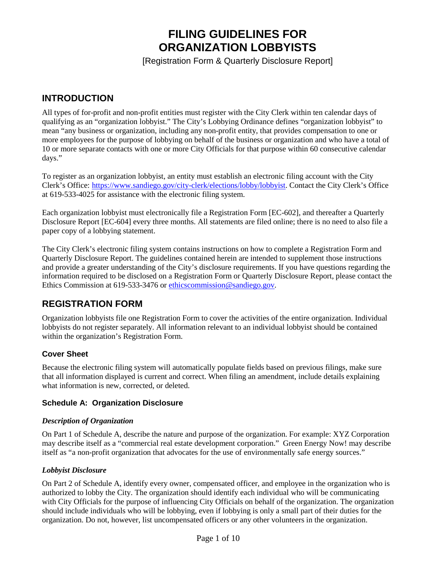# **FILING GUIDELINES FOR ORGANIZATION LOBBYISTS**

[Registration Form & Quarterly Disclosure Report]

# **INTRODUCTION**

All types of for-profit and non-profit entities must register with the City Clerk within ten calendar days of qualifying as an "organization lobbyist." The City's Lobbying Ordinance defines "organization lobbyist" to mean "any business or organization, including any non-profit entity, that provides compensation to one or more employees for the purpose of lobbying on behalf of the business or organization and who have a total of 10 or more separate contacts with one or more City Officials for that purpose within 60 consecutive calendar days."

To register as an organization lobbyist, an entity must establish an electronic filing account with the City Clerk's Office: [https://www.sandiego.gov/city-clerk/elections/lobby/lobbyist.](https://www.sandiego.gov/city-clerk/elections/lobby/lobbyist) Contact the City Clerk's Office at 619-533-4025 for assistance with the electronic filing system.

Each organization lobbyist must electronically file a Registration Form [EC-602], and thereafter a Quarterly Disclosure Report [EC-604] every three months. All statements are filed online; there is no need to also file a paper copy of a lobbying statement.

The City Clerk's electronic filing system contains instructions on how to complete a Registration Form and Quarterly Disclosure Report. The guidelines contained herein are intended to supplement those instructions and provide a greater understanding of the City's disclosure requirements. If you have questions regarding the information required to be disclosed on a Registration Form or Quarterly Disclosure Report, please contact the Ethics Commission at 619-533-3476 or [ethicscommission@sandiego.gov.](mailto:ethicscommission@sandiego.gov)

# **REGISTRATION FORM**

Organization lobbyists file one Registration Form to cover the activities of the entire organization. Individual lobbyists do not register separately. All information relevant to an individual lobbyist should be contained within the organization's Registration Form.

# **Cover Sheet**

Because the electronic filing system will automatically populate fields based on previous filings, make sure that all information displayed is current and correct. When filing an amendment, include details explaining what information is new, corrected, or deleted.

#### **Schedule A: Organization Disclosure**

#### *Description of Organization*

On Part 1 of Schedule A, describe the nature and purpose of the organization. For example: XYZ Corporation may describe itself as a "commercial real estate development corporation." Green Energy Now! may describe itself as "a non-profit organization that advocates for the use of environmentally safe energy sources."

#### *Lobbyist Disclosure*

On Part 2 of Schedule A, identify every owner, compensated officer, and employee in the organization who is authorized to lobby the City. The organization should identify each individual who will be communicating with City Officials for the purpose of influencing City Officials on behalf of the organization. The organization should include individuals who will be lobbying, even if lobbying is only a small part of their duties for the organization. Do not, however, list uncompensated officers or any other volunteers in the organization.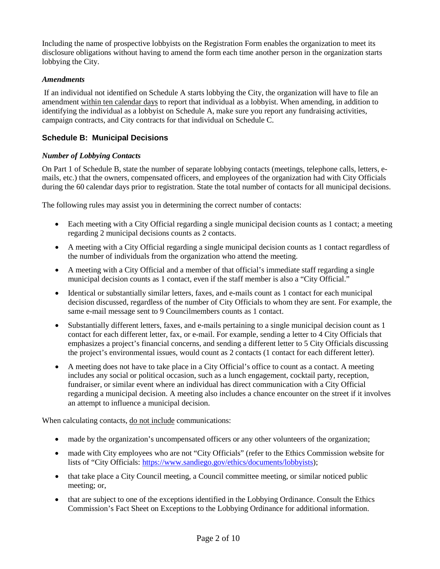Including the name of prospective lobbyists on the Registration Form enables the organization to meet its disclosure obligations without having to amend the form each time another person in the organization starts lobbying the City.

#### *Amendments*

If an individual not identified on Schedule A starts lobbying the City, the organization will have to file an amendment within ten calendar days to report that individual as a lobbyist. When amending, in addition to identifying the individual as a lobbyist on Schedule A, make sure you report any fundraising activities, campaign contracts, and City contracts for that individual on Schedule C.

#### **Schedule B: Municipal Decisions**

#### *Number of Lobbying Contacts*

On Part 1 of Schedule B, state the number of separate lobbying contacts (meetings, telephone calls, letters, emails, etc.) that the owners, compensated officers, and employees of the organization had with City Officials during the 60 calendar days prior to registration. State the total number of contacts for all municipal decisions.

The following rules may assist you in determining the correct number of contacts:

- Each meeting with a City Official regarding a single municipal decision counts as 1 contact; a meeting regarding 2 municipal decisions counts as 2 contacts.
- A meeting with a City Official regarding a single municipal decision counts as 1 contact regardless of the number of individuals from the organization who attend the meeting.
- A meeting with a City Official and a member of that official's immediate staff regarding a single municipal decision counts as 1 contact, even if the staff member is also a "City Official."
- Identical or substantially similar letters, faxes, and e-mails count as 1 contact for each municipal decision discussed, regardless of the number of City Officials to whom they are sent. For example, the same e-mail message sent to 9 Councilmembers counts as 1 contact.
- Substantially different letters, faxes, and e-mails pertaining to a single municipal decision count as 1 contact for each different letter, fax, or e-mail. For example, sending a letter to 4 City Officials that emphasizes a project's financial concerns, and sending a different letter to 5 City Officials discussing the project's environmental issues, would count as 2 contacts (1 contact for each different letter).
- A meeting does not have to take place in a City Official's office to count as a contact. A meeting includes any social or political occasion, such as a lunch engagement, cocktail party, reception, fundraiser, or similar event where an individual has direct communication with a City Official regarding a municipal decision. A meeting also includes a chance encounter on the street if it involves an attempt to influence a municipal decision.

When calculating contacts, do not include communications:

- made by the organization's uncompensated officers or any other volunteers of the organization;
- made with City employees who are not "City Officials" (refer to the Ethics Commission website for lists of "City Officials: [https://www.sandiego.gov/ethics/documents/lobbyists\)](https://www.sandiego.gov/ethics/documents/lobbyists);
- that take place a City Council meeting, a Council committee meeting, or similar noticed public meeting; or,
- that are subject to one of the exceptions identified in the Lobbying Ordinance. Consult the Ethics Commission's Fact Sheet on Exceptions to the Lobbying Ordinance for additional information.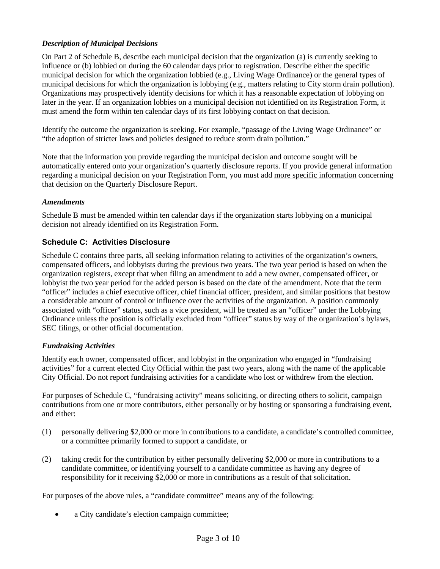### *Description of Municipal Decisions*

On Part 2 of Schedule B, describe each municipal decision that the organization (a) is currently seeking to influence or (b) lobbied on during the 60 calendar days prior to registration. Describe either the specific municipal decision for which the organization lobbied (e.g., Living Wage Ordinance) or the general types of municipal decisions for which the organization is lobbying (e.g., matters relating to City storm drain pollution). Organizations may prospectively identify decisions for which it has a reasonable expectation of lobbying on later in the year. If an organization lobbies on a municipal decision not identified on its Registration Form, it must amend the form within ten calendar days of its first lobbying contact on that decision.

Identify the outcome the organization is seeking. For example, "passage of the Living Wage Ordinance" or "the adoption of stricter laws and policies designed to reduce storm drain pollution."

Note that the information you provide regarding the municipal decision and outcome sought will be automatically entered onto your organization's quarterly disclosure reports. If you provide general information regarding a municipal decision on your Registration Form, you must add more specific information concerning that decision on the Quarterly Disclosure Report.

#### *Amendments*

Schedule B must be amended within ten calendar days if the organization starts lobbying on a municipal decision not already identified on its Registration Form.

#### **Schedule C: Activities Disclosure**

Schedule C contains three parts, all seeking information relating to activities of the organization's owners, compensated officers, and lobbyists during the previous two years. The two year period is based on when the organization registers, except that when filing an amendment to add a new owner, compensated officer, or lobbyist the two year period for the added person is based on the date of the amendment. Note that the term "officer" includes a chief executive officer, chief financial officer, president, and similar positions that bestow a considerable amount of control or influence over the activities of the organization. A position commonly associated with "officer" status, such as a vice president, will be treated as an "officer" under the Lobbying Ordinance unless the position is officially excluded from "officer" status by way of the organization's bylaws, SEC filings, or other official documentation.

#### *Fundraising Activities*

Identify each owner, compensated officer, and lobbyist in the organization who engaged in "fundraising activities" for a current elected City Official within the past two years, along with the name of the applicable City Official. Do not report fundraising activities for a candidate who lost or withdrew from the election.

For purposes of Schedule C, "fundraising activity" means soliciting, or directing others to solicit, campaign contributions from one or more contributors, either personally or by hosting or sponsoring a fundraising event, and either:

- (1) personally delivering \$2,000 or more in contributions to a candidate, a candidate's controlled committee, or a committee primarily formed to support a candidate, or
- (2) taking credit for the contribution by either personally delivering \$2,000 or more in contributions to a candidate committee, or identifying yourself to a candidate committee as having any degree of responsibility for it receiving \$2,000 or more in contributions as a result of that solicitation.

For purposes of the above rules, a "candidate committee" means any of the following:

• a City candidate's election campaign committee;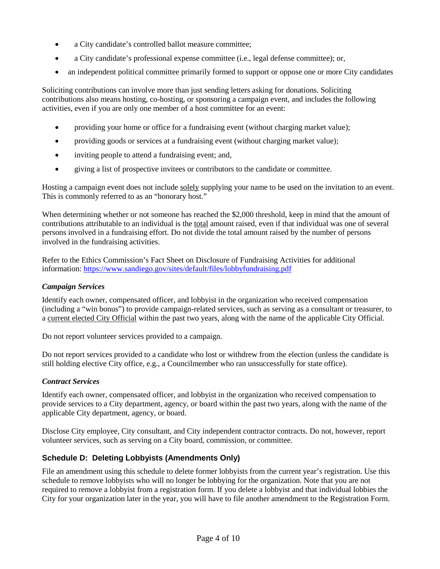- a City candidate's controlled ballot measure committee;
- a City candidate's professional expense committee (i.e., legal defense committee); or,
- an independent political committee primarily formed to support or oppose one or more City candidates

Soliciting contributions can involve more than just sending letters asking for donations. Soliciting contributions also means hosting, co-hosting, or sponsoring a campaign event, and includes the following activities, even if you are only one member of a host committee for an event:

- providing your home or office for a fundraising event (without charging market value);
- providing goods or services at a fundraising event (without charging market value);
- inviting people to attend a fundraising event; and,
- giving a list of prospective invitees or contributors to the candidate or committee.

Hosting a campaign event does not include solely supplying your name to be used on the invitation to an event. This is commonly referred to as an "honorary host."

When determining whether or not someone has reached the \$2,000 threshold, keep in mind that the amount of contributions attributable to an individual is the total amount raised, even if that individual was one of several persons involved in a fundraising effort. Do not divide the total amount raised by the number of persons involved in the fundraising activities.

Refer to the Ethics Commission's Fact Sheet on Disclosure of Fundraising Activities for additional information:<https://www.sandiego.gov/sites/default/files/lobbyfundraising.pdf>

#### *Campaign Services*

Identify each owner, compensated officer, and lobbyist in the organization who received compensation (including a "win bonus") to provide campaign-related services, such as serving as a consultant or treasurer, to a current elected City Official within the past two years, along with the name of the applicable City Official.

Do not report volunteer services provided to a campaign.

Do not report services provided to a candidate who lost or withdrew from the election (unless the candidate is still holding elective City office, e.g., a Councilmember who ran unsuccessfully for state office).

#### *Contract Services*

Identify each owner, compensated officer, and lobbyist in the organization who received compensation to provide services to a City department, agency, or board within the past two years, along with the name of the applicable City department, agency, or board.

Disclose City employee, City consultant, and City independent contractor contracts. Do not, however, report volunteer services, such as serving on a City board, commission, or committee.

# **Schedule D: Deleting Lobbyists (Amendments Only)**

File an amendment using this schedule to delete former lobbyists from the current year's registration. Use this schedule to remove lobbyists who will no longer be lobbying for the organization. Note that you are not required to remove a lobbyist from a registration form. If you delete a lobbyist and that individual lobbies the City for your organization later in the year, you will have to file another amendment to the Registration Form.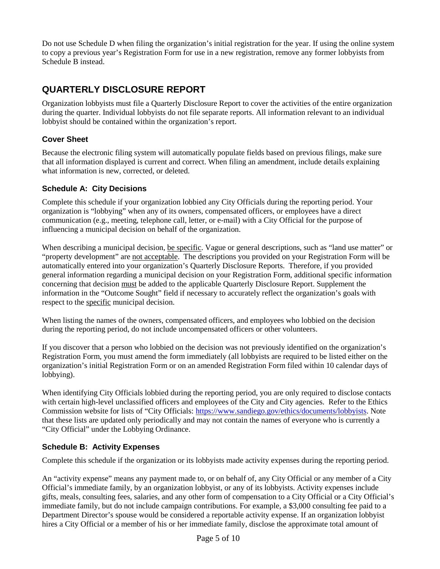Do not use Schedule D when filing the organization's initial registration for the year. If using the online system to copy a previous year's Registration Form for use in a new registration, remove any former lobbyists from Schedule B instead.

# **QUARTERLY DISCLOSURE REPORT**

Organization lobbyists must file a Quarterly Disclosure Report to cover the activities of the entire organization during the quarter. Individual lobbyists do not file separate reports. All information relevant to an individual lobbyist should be contained within the organization's report.

### **Cover Sheet**

Because the electronic filing system will automatically populate fields based on previous filings, make sure that all information displayed is current and correct. When filing an amendment, include details explaining what information is new, corrected, or deleted.

### **Schedule A: City Decisions**

Complete this schedule if your organization lobbied any City Officials during the reporting period. Your organization is "lobbying" when any of its owners, compensated officers, or employees have a direct communication (e.g., meeting, telephone call, letter, or e-mail) with a City Official for the purpose of influencing a municipal decision on behalf of the organization.

When describing a municipal decision, be specific. Vague or general descriptions, such as "land use matter" or "property development" are not acceptable. The descriptions you provided on your Registration Form will be automatically entered into your organization's Quarterly Disclosure Reports. Therefore, if you provided general information regarding a municipal decision on your Registration Form, additional specific information concerning that decision must be added to the applicable Quarterly Disclosure Report. Supplement the information in the "Outcome Sought" field if necessary to accurately reflect the organization's goals with respect to the specific municipal decision.

When listing the names of the owners, compensated officers, and employees who lobbied on the decision during the reporting period, do not include uncompensated officers or other volunteers.

If you discover that a person who lobbied on the decision was not previously identified on the organization's Registration Form, you must amend the form immediately (all lobbyists are required to be listed either on the organization's initial Registration Form or on an amended Registration Form filed within 10 calendar days of lobbying).

When identifying City Officials lobbied during the reporting period, you are only required to disclose contacts with certain high-level unclassified officers and employees of the City and City agencies. Refer to the Ethics Commission website for lists of "City Officials: [https://www.sandiego.gov/ethics/documents/lobbyists.](https://www.sandiego.gov/ethics/documents/lobbyists) Note that these lists are updated only periodically and may not contain the names of everyone who is currently a "City Official" under the Lobbying Ordinance.

# **Schedule B: Activity Expenses**

Complete this schedule if the organization or its lobbyists made activity expenses during the reporting period.

An "activity expense" means any payment made to, or on behalf of, any City Official or any member of a City Official's immediate family, by an organization lobbyist, or any of its lobbyists. Activity expenses include gifts, meals, consulting fees, salaries, and any other form of compensation to a City Official or a City Official's immediate family, but do not include campaign contributions. For example, a \$3,000 consulting fee paid to a Department Director's spouse would be considered a reportable activity expense. If an organization lobbyist hires a City Official or a member of his or her immediate family, disclose the approximate total amount of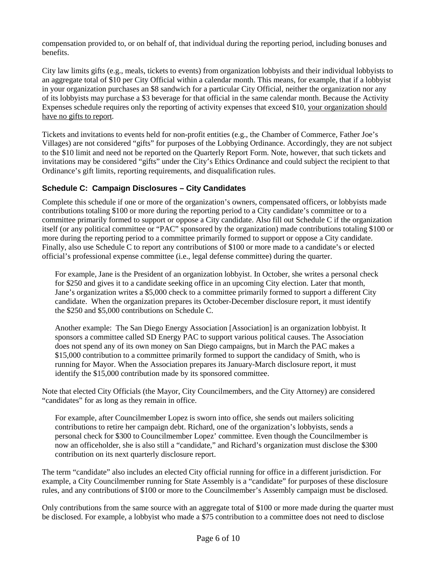compensation provided to, or on behalf of, that individual during the reporting period, including bonuses and benefits.

City law limits gifts (e.g., meals, tickets to events) from organization lobbyists and their individual lobbyists to an aggregate total of \$10 per City Official within a calendar month. This means, for example, that if a lobbyist in your organization purchases an \$8 sandwich for a particular City Official, neither the organization nor any of its lobbyists may purchase a \$3 beverage for that official in the same calendar month. Because the Activity Expenses schedule requires only the reporting of activity expenses that exceed \$10, your organization should have no gifts to report.

Tickets and invitations to events held for non-profit entities (e.g., the Chamber of Commerce, Father Joe's Villages) are not considered "gifts" for purposes of the Lobbying Ordinance. Accordingly, they are not subject to the \$10 limit and need not be reported on the Quarterly Report Form. Note, however, that such tickets and invitations may be considered "gifts" under the City's Ethics Ordinance and could subject the recipient to that Ordinance's gift limits, reporting requirements, and disqualification rules.

### **Schedule C: Campaign Disclosures – City Candidates**

Complete this schedule if one or more of the organization's owners, compensated officers, or lobbyists made contributions totaling \$100 or more during the reporting period to a City candidate's committee or to a committee primarily formed to support or oppose a City candidate. Also fill out Schedule C if the organization itself (or any political committee or "PAC" sponsored by the organization) made contributions totaling \$100 or more during the reporting period to a committee primarily formed to support or oppose a City candidate. Finally, also use Schedule C to report any contributions of \$100 or more made to a candidate's or elected official's professional expense committee (i.e., legal defense committee) during the quarter.

For example, Jane is the President of an organization lobbyist. In October, she writes a personal check for \$250 and gives it to a candidate seeking office in an upcoming City election. Later that month, Jane's organization writes a \$5,000 check to a committee primarily formed to support a different City candidate. When the organization prepares its October-December disclosure report, it must identify the \$250 and \$5,000 contributions on Schedule C.

Another example: The San Diego Energy Association [Association] is an organization lobbyist. It sponsors a committee called SD Energy PAC to support various political causes. The Association does not spend any of its own money on San Diego campaigns, but in March the PAC makes a \$15,000 contribution to a committee primarily formed to support the candidacy of Smith, who is running for Mayor. When the Association prepares its January-March disclosure report, it must identify the \$15,000 contribution made by its sponsored committee.

Note that elected City Officials (the Mayor, City Councilmembers, and the City Attorney) are considered "candidates" for as long as they remain in office.

For example, after Councilmember Lopez is sworn into office, she sends out mailers soliciting contributions to retire her campaign debt. Richard, one of the organization's lobbyists, sends a personal check for \$300 to Councilmember Lopez' committee. Even though the Councilmember is now an officeholder, she is also still a "candidate," and Richard's organization must disclose the \$300 contribution on its next quarterly disclosure report.

The term "candidate" also includes an elected City official running for office in a different jurisdiction. For example, a City Councilmember running for State Assembly is a "candidate" for purposes of these disclosure rules, and any contributions of \$100 or more to the Councilmember's Assembly campaign must be disclosed.

Only contributions from the same source with an aggregate total of \$100 or more made during the quarter must be disclosed. For example, a lobbyist who made a \$75 contribution to a committee does not need to disclose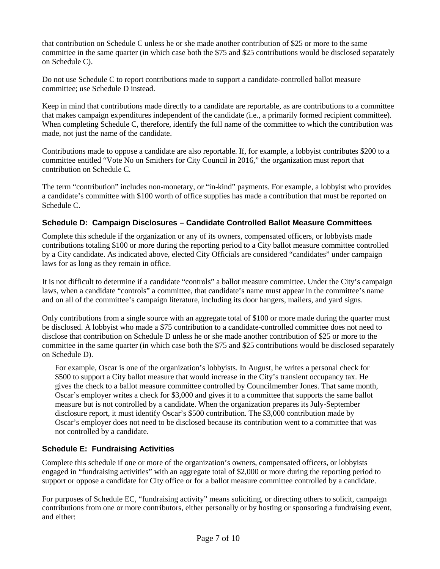that contribution on Schedule C unless he or she made another contribution of \$25 or more to the same committee in the same quarter (in which case both the \$75 and \$25 contributions would be disclosed separately on Schedule C).

Do not use Schedule C to report contributions made to support a candidate-controlled ballot measure committee; use Schedule D instead.

Keep in mind that contributions made directly to a candidate are reportable, as are contributions to a committee that makes campaign expenditures independent of the candidate (i.e., a primarily formed recipient committee). When completing Schedule C, therefore, identify the full name of the committee to which the contribution was made, not just the name of the candidate.

Contributions made to oppose a candidate are also reportable. If, for example, a lobbyist contributes \$200 to a committee entitled "Vote No on Smithers for City Council in 2016," the organization must report that contribution on Schedule C.

The term "contribution" includes non-monetary, or "in-kind" payments. For example, a lobbyist who provides a candidate's committee with \$100 worth of office supplies has made a contribution that must be reported on Schedule C.

### **Schedule D: Campaign Disclosures – Candidate Controlled Ballot Measure Committees**

Complete this schedule if the organization or any of its owners, compensated officers, or lobbyists made contributions totaling \$100 or more during the reporting period to a City ballot measure committee controlled by a City candidate. As indicated above, elected City Officials are considered "candidates" under campaign laws for as long as they remain in office.

It is not difficult to determine if a candidate "controls" a ballot measure committee. Under the City's campaign laws, when a candidate "controls" a committee, that candidate's name must appear in the committee's name and on all of the committee's campaign literature, including its door hangers, mailers, and yard signs.

Only contributions from a single source with an aggregate total of \$100 or more made during the quarter must be disclosed. A lobbyist who made a \$75 contribution to a candidate-controlled committee does not need to disclose that contribution on Schedule D unless he or she made another contribution of \$25 or more to the committee in the same quarter (in which case both the \$75 and \$25 contributions would be disclosed separately on Schedule D).

For example, Oscar is one of the organization's lobbyists. In August, he writes a personal check for \$500 to support a City ballot measure that would increase in the City's transient occupancy tax. He gives the check to a ballot measure committee controlled by Councilmember Jones. That same month, Oscar's employer writes a check for \$3,000 and gives it to a committee that supports the same ballot measure but is not controlled by a candidate. When the organization prepares its July-September disclosure report, it must identify Oscar's \$500 contribution. The \$3,000 contribution made by Oscar's employer does not need to be disclosed because its contribution went to a committee that was not controlled by a candidate.

#### **Schedule E: Fundraising Activities**

Complete this schedule if one or more of the organization's owners, compensated officers, or lobbyists engaged in "fundraising activities" with an aggregate total of \$2,000 or more during the reporting period to support or oppose a candidate for City office or for a ballot measure committee controlled by a candidate.

For purposes of Schedule EC, "fundraising activity" means soliciting, or directing others to solicit, campaign contributions from one or more contributors, either personally or by hosting or sponsoring a fundraising event, and either: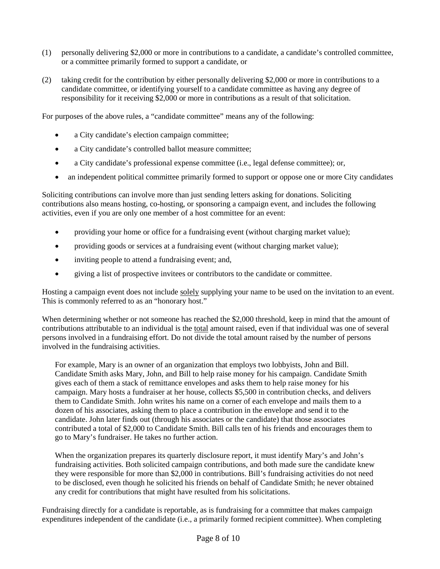- (1) personally delivering \$2,000 or more in contributions to a candidate, a candidate's controlled committee, or a committee primarily formed to support a candidate, or
- (2) taking credit for the contribution by either personally delivering \$2,000 or more in contributions to a candidate committee, or identifying yourself to a candidate committee as having any degree of responsibility for it receiving \$2,000 or more in contributions as a result of that solicitation.

For purposes of the above rules, a "candidate committee" means any of the following:

- a City candidate's election campaign committee;
- a City candidate's controlled ballot measure committee;
- a City candidate's professional expense committee (i.e., legal defense committee); or,
- an independent political committee primarily formed to support or oppose one or more City candidates

Soliciting contributions can involve more than just sending letters asking for donations. Soliciting contributions also means hosting, co-hosting, or sponsoring a campaign event, and includes the following activities, even if you are only one member of a host committee for an event:

- providing your home or office for a fundraising event (without charging market value);
- providing goods or services at a fundraising event (without charging market value);
- inviting people to attend a fundraising event; and,
- giving a list of prospective invitees or contributors to the candidate or committee.

Hosting a campaign event does not include solely supplying your name to be used on the invitation to an event. This is commonly referred to as an "honorary host."

When determining whether or not someone has reached the \$2,000 threshold, keep in mind that the amount of contributions attributable to an individual is the total amount raised, even if that individual was one of several persons involved in a fundraising effort. Do not divide the total amount raised by the number of persons involved in the fundraising activities.

For example, Mary is an owner of an organization that employs two lobbyists, John and Bill. Candidate Smith asks Mary, John, and Bill to help raise money for his campaign. Candidate Smith gives each of them a stack of remittance envelopes and asks them to help raise money for his campaign. Mary hosts a fundraiser at her house, collects \$5,500 in contribution checks, and delivers them to Candidate Smith. John writes his name on a corner of each envelope and mails them to a dozen of his associates, asking them to place a contribution in the envelope and send it to the candidate. John later finds out (through his associates or the candidate) that those associates contributed a total of \$2,000 to Candidate Smith. Bill calls ten of his friends and encourages them to go to Mary's fundraiser. He takes no further action.

When the organization prepares its quarterly disclosure report, it must identify Mary's and John's fundraising activities. Both solicited campaign contributions, and both made sure the candidate knew they were responsible for more than \$2,000 in contributions. Bill's fundraising activities do not need to be disclosed, even though he solicited his friends on behalf of Candidate Smith; he never obtained any credit for contributions that might have resulted from his solicitations.

Fundraising directly for a candidate is reportable, as is fundraising for a committee that makes campaign expenditures independent of the candidate (i.e., a primarily formed recipient committee). When completing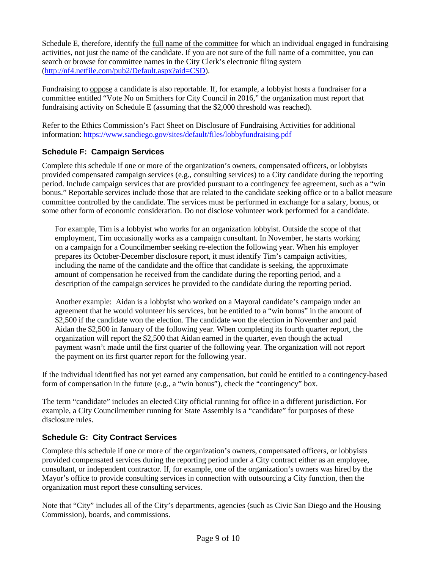Schedule E, therefore, identify the full name of the committee for which an individual engaged in fundraising activities, not just the name of the candidate. If you are not sure of the full name of a committee, you can search or browse for committee names in the City Clerk's electronic filing system [\(http://nf4.netfile.com/pub2/Default.aspx?aid=CSD\)](http://nf4.netfile.com/pub2/Default.aspx?aid=CSD).

Fundraising to oppose a candidate is also reportable. If, for example, a lobbyist hosts a fundraiser for a committee entitled "Vote No on Smithers for City Council in 2016," the organization must report that fundraising activity on Schedule E (assuming that the \$2,000 threshold was reached).

Refer to the Ethics Commission's Fact Sheet on Disclosure of Fundraising Activities for additional information:<https://www.sandiego.gov/sites/default/files/lobbyfundraising.pdf>

### **Schedule F: Campaign Services**

Complete this schedule if one or more of the organization's owners, compensated officers, or lobbyists provided compensated campaign services (e.g., consulting services) to a City candidate during the reporting period. Include campaign services that are provided pursuant to a contingency fee agreement, such as a "win bonus." Reportable services include those that are related to the candidate seeking office or to a ballot measure committee controlled by the candidate. The services must be performed in exchange for a salary, bonus, or some other form of economic consideration. Do not disclose volunteer work performed for a candidate.

For example, Tim is a lobbyist who works for an organization lobbyist. Outside the scope of that employment, Tim occasionally works as a campaign consultant. In November, he starts working on a campaign for a Councilmember seeking re-election the following year. When his employer prepares its October-December disclosure report, it must identify Tim's campaign activities, including the name of the candidate and the office that candidate is seeking, the approximate amount of compensation he received from the candidate during the reporting period, and a description of the campaign services he provided to the candidate during the reporting period.

Another example: Aidan is a lobbyist who worked on a Mayoral candidate's campaign under an agreement that he would volunteer his services, but be entitled to a "win bonus" in the amount of \$2,500 if the candidate won the election. The candidate won the election in November and paid Aidan the \$2,500 in January of the following year. When completing its fourth quarter report, the organization will report the \$2,500 that Aidan earned in the quarter, even though the actual payment wasn't made until the first quarter of the following year. The organization will not report the payment on its first quarter report for the following year.

If the individual identified has not yet earned any compensation, but could be entitled to a contingency-based form of compensation in the future (e.g., a "win bonus"), check the "contingency" box.

The term "candidate" includes an elected City official running for office in a different jurisdiction. For example, a City Councilmember running for State Assembly is a "candidate" for purposes of these disclosure rules.

# **Schedule G: City Contract Services**

Complete this schedule if one or more of the organization's owners, compensated officers, or lobbyists provided compensated services during the reporting period under a City contract either as an employee, consultant, or independent contractor. If, for example, one of the organization's owners was hired by the Mayor's office to provide consulting services in connection with outsourcing a City function, then the organization must report these consulting services.

Note that "City" includes all of the City's departments, agencies (such as Civic San Diego and the Housing Commission), boards, and commissions.